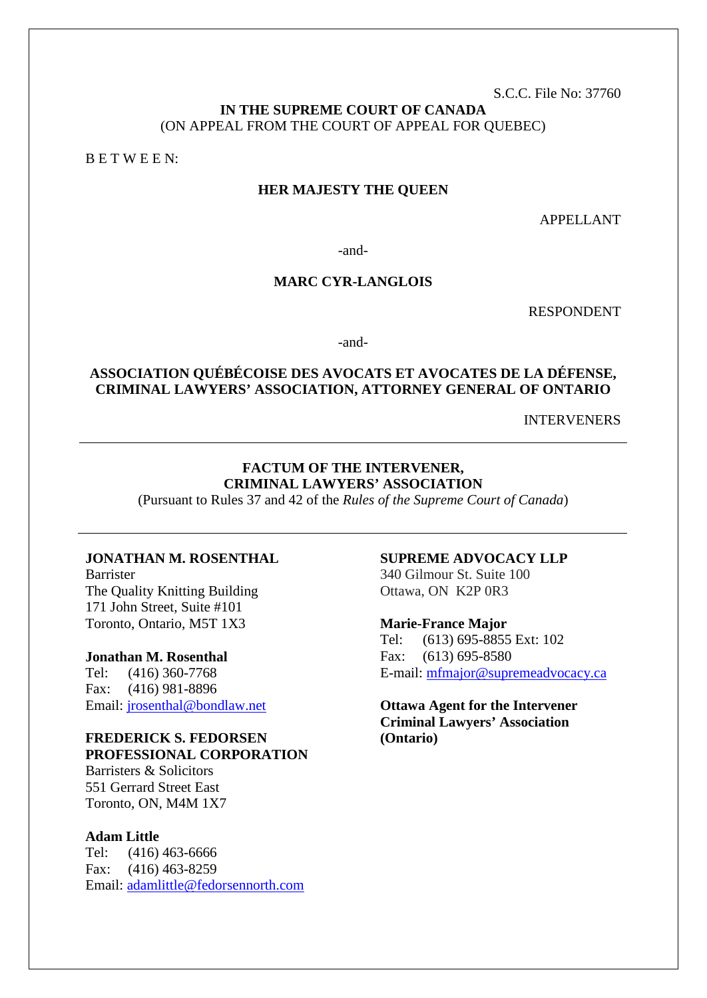S.C.C. File No: 37760

# **IN THE SUPREME COURT OF CANADA** (ON APPEAL FROM THE COURT OF APPEAL FOR QUEBEC)

B E T W E E N:

### **HER MAJESTY THE QUEEN**

APPELLANT

-and-

## **MARC CYR-LANGLOIS**

RESPONDENT

-and-

# **ASSOCIATION QUÉBÉCOISE DES AVOCATS ET AVOCATES DE LA DÉFENSE, CRIMINAL LAWYERS' ASSOCIATION, ATTORNEY GENERAL OF ONTARIO**

INTERVENERS

#### **FACTUM OF THE INTERVENER, CRIMINAL LAWYERS' ASSOCIATION**

(Pursuant to Rules 37 and 42 of the *Rules of the Supreme Court of Canada*)

### **JONATHAN M. ROSENTHAL**

Barrister The Quality Knitting Building 171 John Street, Suite #101 Toronto, Ontario, M5T 1X3

#### **Jonathan M. Rosenthal**

Tel: (416) 360-7768 Fax: (416) 981-8896 Email: [jrosenthal@bondlaw.net](mailto:jrosenthal@bondlaw.net)

#### **FREDERICK S. FEDORSEN PROFESSIONAL CORPORATION**

Barristers & Solicitors 551 Gerrard Street East Toronto, ON, M4M 1X7

### **Adam Little**

Tel: (416) 463-6666 Fax: (416) 463-8259 Email: [adamlittle@fedorsennorth.com](mailto:adamlittle@fedorsennorth.com)

#### **SUPREME ADVOCACY LLP**

340 Gilmour St. Suite 100 Ottawa, ON K2P 0R3

#### **Marie-France Major**

Tel: (613) 695-8855 Ext: 102 Fax: (613) 695-8580 E-mail: [mfmajor@supremeadvocacy.ca](mailto:mfmajor@supremeadvocacy.ca)

# **Ottawa Agent for the Intervener Criminal Lawyers' Association (Ontario)**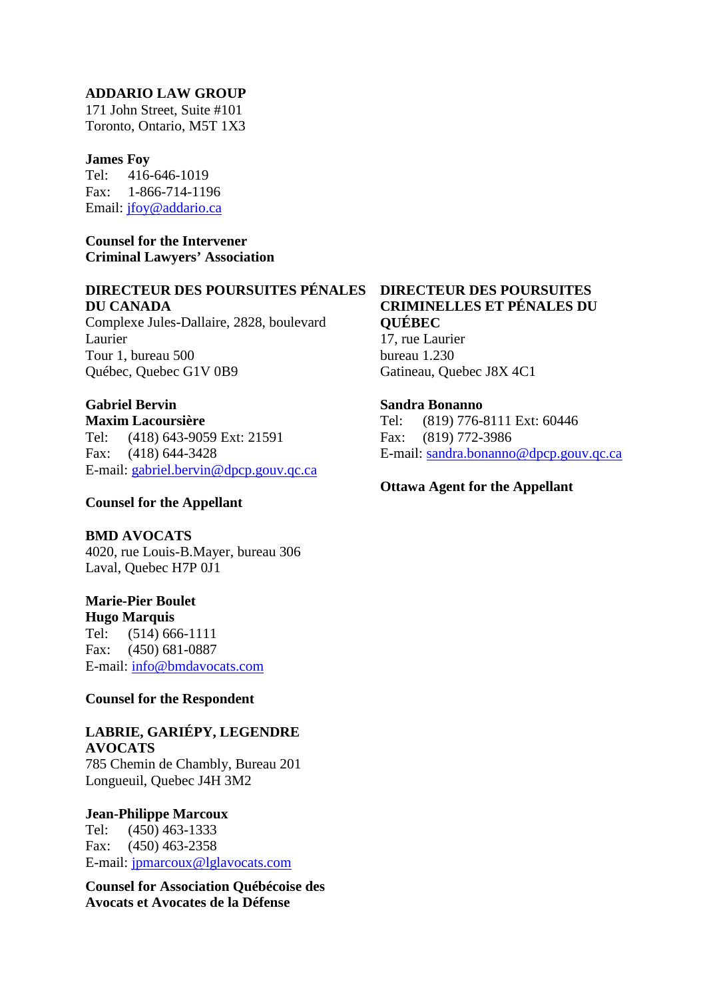### **ADDARIO LAW GROUP**

171 John Street, Suite #101 Toronto, Ontario, M5T 1X3

#### **James Foy**

Tel: 416-646-1019 Fax: 1-866-714-1196 Email: [jfoy@addario.ca](mailto:jfoy@addario.ca) 

**Counsel for the Intervener Criminal Lawyers' Association**

#### **DIRECTEUR DES POURSUITES PÉNALES DU CANADA**

Complexe Jules-Dallaire, 2828, boulevard Laurier Tour 1, bureau 500 Québec, Quebec G1V 0B9

### **Gabriel Bervin**

**Maxim Lacoursière** Tel: (418) 643-9059 Ext: 21591 Fax: (418) 644-3428 E-mail: [gabriel.bervin@dpcp.gouv.qc.ca](mailto:gabriel.bervin@dpcp.gouv.qc.ca)

### **Counsel for the Appellant**

#### **BMD AVOCATS**

4020, rue Louis-B.Mayer, bureau 306 Laval, Quebec H7P 0J1

**Marie-Pier Boulet**

**Hugo Marquis** Tel: (514) 666-1111 Fax: (450) 681-0887 E-mail: [info@bmdavocats.com](mailto:info@bmdavocats.com)

### **Counsel for the Respondent**

#### **LABRIE, GARIÉPY, LEGENDRE AVOCATS**

785 Chemin de Chambly, Bureau 201 Longueuil, Quebec J4H 3M2

#### **Jean-Philippe Marcoux**

Tel: (450) 463-1333 Fax: (450) 463-2358 E-mail: [jpmarcoux@lglavocats.com](mailto:jpmarcoux@lglavocats.com)

**Counsel for Association Québécoise des Avocats et Avocates de la Défense**

# **DIRECTEUR DES POURSUITES CRIMINELLES ET PÉNALES DU QUÉBEC**

17, rue Laurier bureau 1.230 Gatineau, Quebec J8X 4C1

#### **Sandra Bonanno**

Tel: (819) 776-8111 Ext: 60446 Fax: (819) 772-3986 E-mail: [sandra.bonanno@dpcp.gouv.qc.ca](mailto:sandra.bonanno@dpcp.gouv.qc.ca)

### **Ottawa Agent for the Appellant**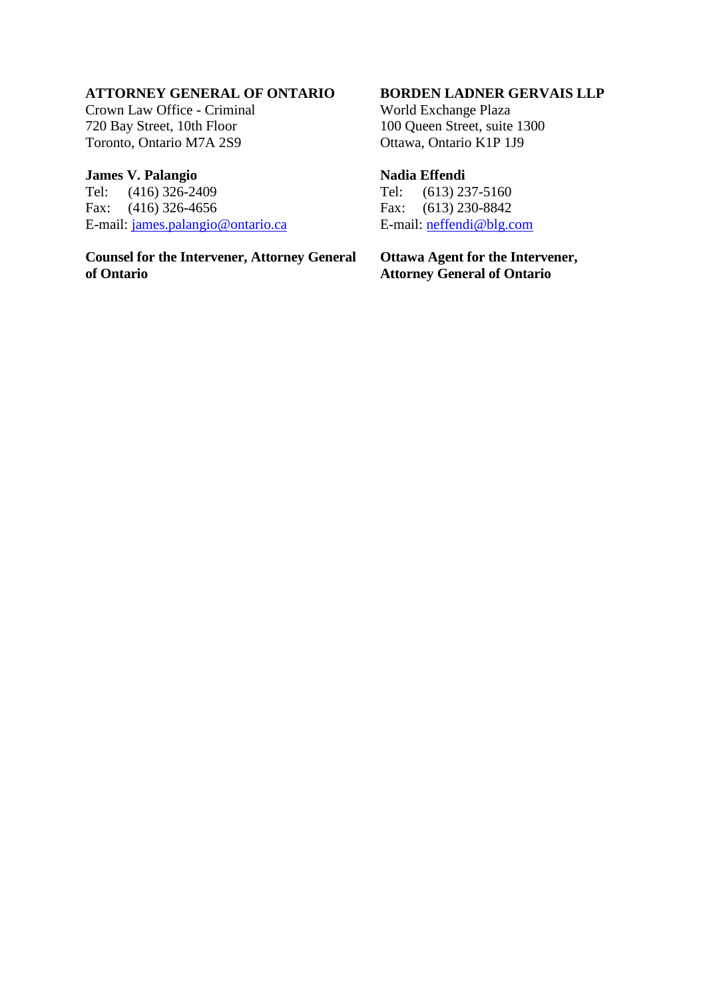# **ATTORNEY GENERAL OF ONTARIO**

Crown Law Office - Criminal 720 Bay Street, 10th Floor Toronto, Ontario M7A 2S9

# **James V. Palangio**

Tel: (416) 326-2409<br>Fax: (416) 326-4656  $(416)$  326-4656 E-mail: james.palangio@ontario.ca

**Counsel for the Intervener, Attorney General of Ontario**

### **BORDEN LADNER GERVAIS LLP**

World Exchange Plaza 100 Queen Street, suite 1300 Ottawa, Ontario K1P 1J9

# **Nadia Effendi**

Tel: (613) 237-5160 Fax: (613) 230-8842 E-mail: [neffendi@blg.com](mailto:neffendi@blg.com)

**Ottawa Agent for the Intervener, Attorney General of Ontario**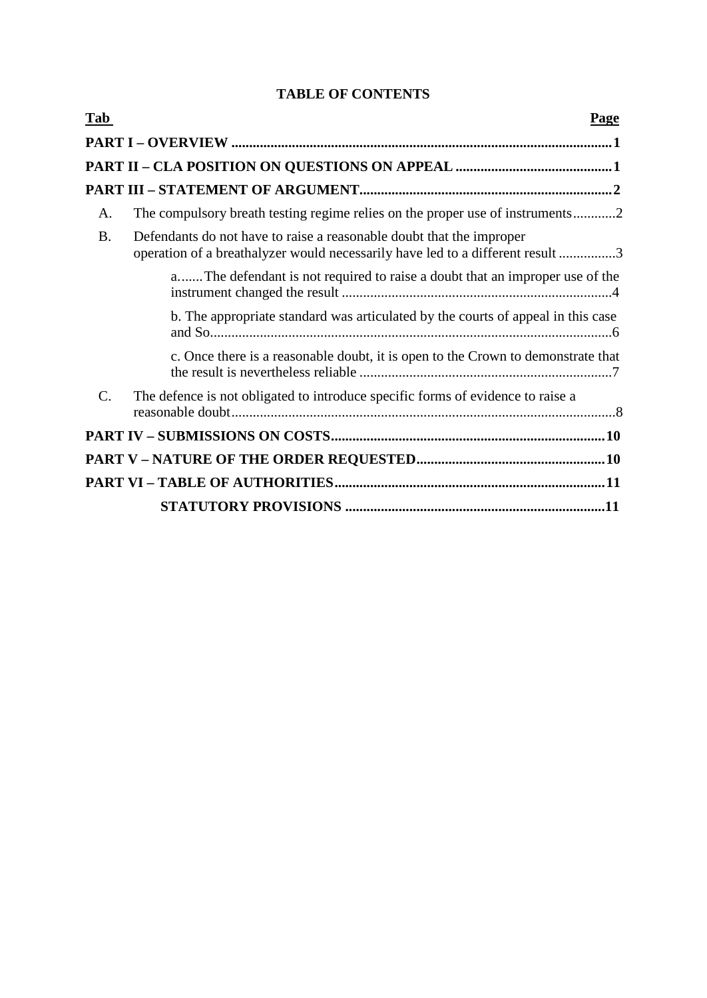# **TABLE OF CONTENTS**

| Tab             | <b>Page</b>                                                                                                                                            |
|-----------------|--------------------------------------------------------------------------------------------------------------------------------------------------------|
|                 |                                                                                                                                                        |
|                 |                                                                                                                                                        |
|                 |                                                                                                                                                        |
| A.              | The compulsory breath testing regime relies on the proper use of instruments2                                                                          |
| <b>B.</b>       | Defendants do not have to raise a reasonable doubt that the improper<br>operation of a breathalyzer would necessarily have led to a different result 3 |
|                 | aThe defendant is not required to raise a doubt that an improper use of the                                                                            |
|                 | b. The appropriate standard was articulated by the courts of appeal in this case                                                                       |
|                 | c. Once there is a reasonable doubt, it is open to the Crown to demonstrate that                                                                       |
| $\mathcal{C}$ . | The defence is not obligated to introduce specific forms of evidence to raise a                                                                        |
|                 |                                                                                                                                                        |
|                 |                                                                                                                                                        |
|                 |                                                                                                                                                        |
|                 |                                                                                                                                                        |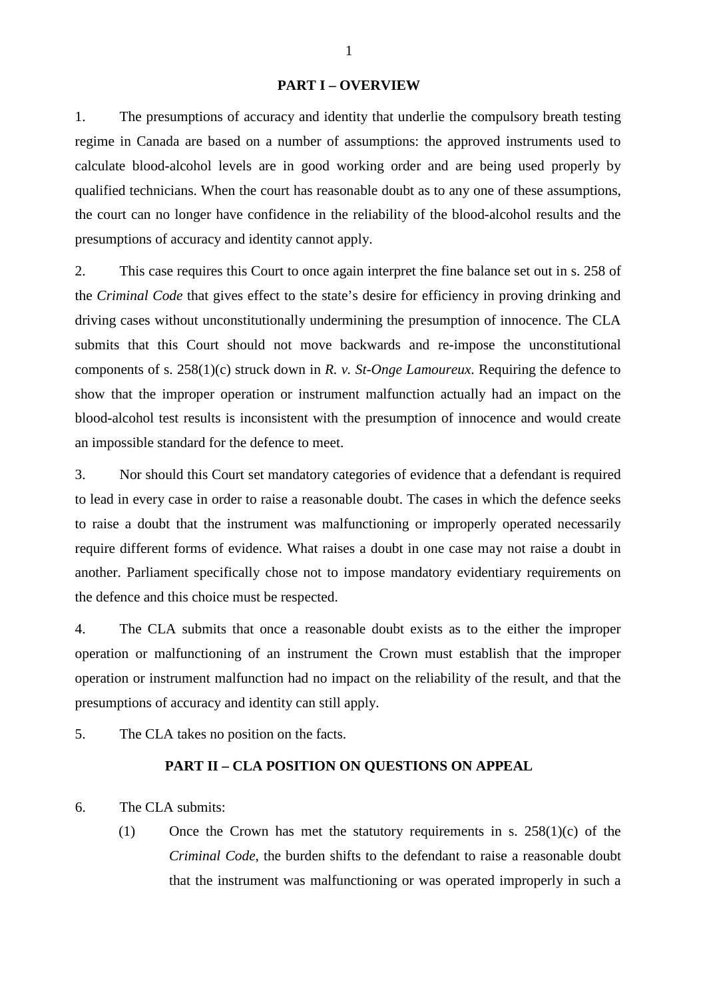#### **PART I – OVERVIEW**

1. The presumptions of accuracy and identity that underlie the compulsory breath testing regime in Canada are based on a number of assumptions: the approved instruments used to calculate blood-alcohol levels are in good working order and are being used properly by qualified technicians. When the court has reasonable doubt as to any one of these assumptions, the court can no longer have confidence in the reliability of the blood-alcohol results and the presumptions of accuracy and identity cannot apply.

2. This case requires this Court to once again interpret the fine balance set out in s. 258 of the *Criminal Code* that gives effect to the state's desire for efficiency in proving drinking and driving cases without unconstitutionally undermining the presumption of innocence. The CLA submits that this Court should not move backwards and re-impose the unconstitutional components of s. 258(1)(c) struck down in *R. v. St-Onge Lamoureux*. Requiring the defence to show that the improper operation or instrument malfunction actually had an impact on the blood-alcohol test results is inconsistent with the presumption of innocence and would create an impossible standard for the defence to meet.

3. Nor should this Court set mandatory categories of evidence that a defendant is required to lead in every case in order to raise a reasonable doubt. The cases in which the defence seeks to raise a doubt that the instrument was malfunctioning or improperly operated necessarily require different forms of evidence. What raises a doubt in one case may not raise a doubt in another. Parliament specifically chose not to impose mandatory evidentiary requirements on the defence and this choice must be respected.

4. The CLA submits that once a reasonable doubt exists as to the either the improper operation or malfunctioning of an instrument the Crown must establish that the improper operation or instrument malfunction had no impact on the reliability of the result, and that the presumptions of accuracy and identity can still apply.

5. The CLA takes no position on the facts.

# **PART II – CLA POSITION ON QUESTIONS ON APPEAL**

6. The CLA submits:

(1) Once the Crown has met the statutory requirements in s. 258(1)(c) of the *Criminal Code*, the burden shifts to the defendant to raise a reasonable doubt that the instrument was malfunctioning or was operated improperly in such a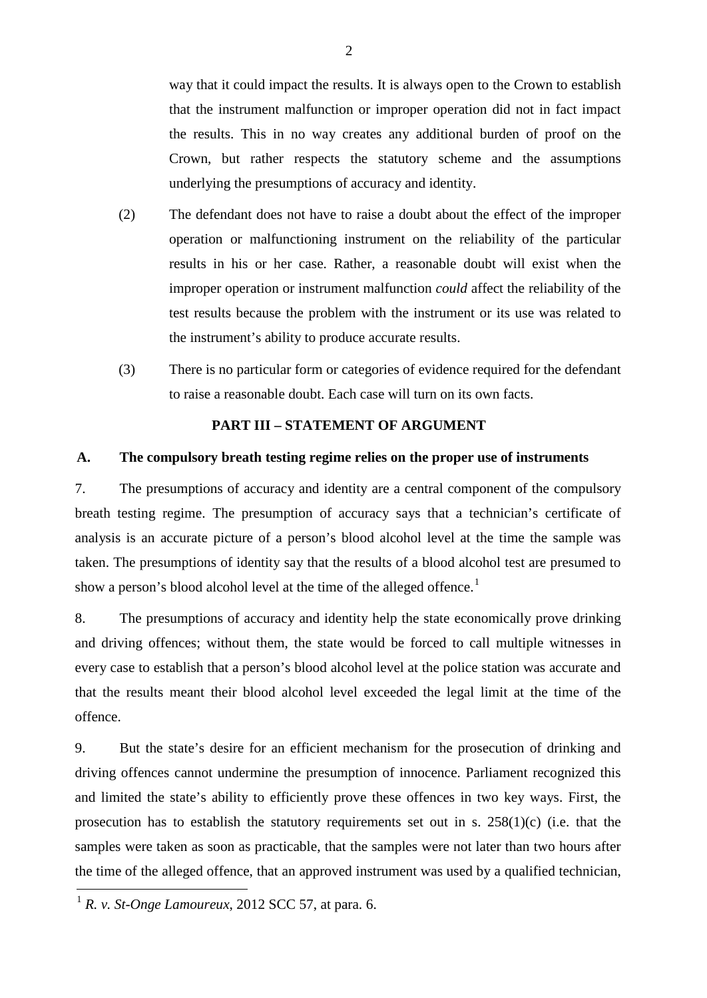way that it could impact the results. It is always open to the Crown to establish that the instrument malfunction or improper operation did not in fact impact the results. This in no way creates any additional burden of proof on the Crown, but rather respects the statutory scheme and the assumptions underlying the presumptions of accuracy and identity.

- (2) The defendant does not have to raise a doubt about the effect of the improper operation or malfunctioning instrument on the reliability of the particular results in his or her case. Rather, a reasonable doubt will exist when the improper operation or instrument malfunction *could* affect the reliability of the test results because the problem with the instrument or its use was related to the instrument's ability to produce accurate results.
- (3) There is no particular form or categories of evidence required for the defendant to raise a reasonable doubt. Each case will turn on its own facts.

# **PART III – STATEMENT OF ARGUMENT**

#### **A. The compulsory breath testing regime relies on the proper use of instruments**

7. The presumptions of accuracy and identity are a central component of the compulsory breath testing regime. The presumption of accuracy says that a technician's certificate of analysis is an accurate picture of a person's blood alcohol level at the time the sample was taken. The presumptions of identity say that the results of a blood alcohol test are presumed to show a person's blood alcohol level at the time of the alleged offence.<sup>[1](#page-5-0)</sup>

8. The presumptions of accuracy and identity help the state economically prove drinking and driving offences; without them, the state would be forced to call multiple witnesses in every case to establish that a person's blood alcohol level at the police station was accurate and that the results meant their blood alcohol level exceeded the legal limit at the time of the offence.

9. But the state's desire for an efficient mechanism for the prosecution of drinking and driving offences cannot undermine the presumption of innocence. Parliament recognized this and limited the state's ability to efficiently prove these offences in two key ways. First, the prosecution has to establish the statutory requirements set out in s. 258(1)(c) (i.e. that the samples were taken as soon as practicable, that the samples were not later than two hours after the time of the alleged offence, that an approved instrument was used by a qualified technician,

<span id="page-5-0"></span> $1 R$ . *v. St-Onge Lamoureux*, 2012 SCC 57, at para. 6.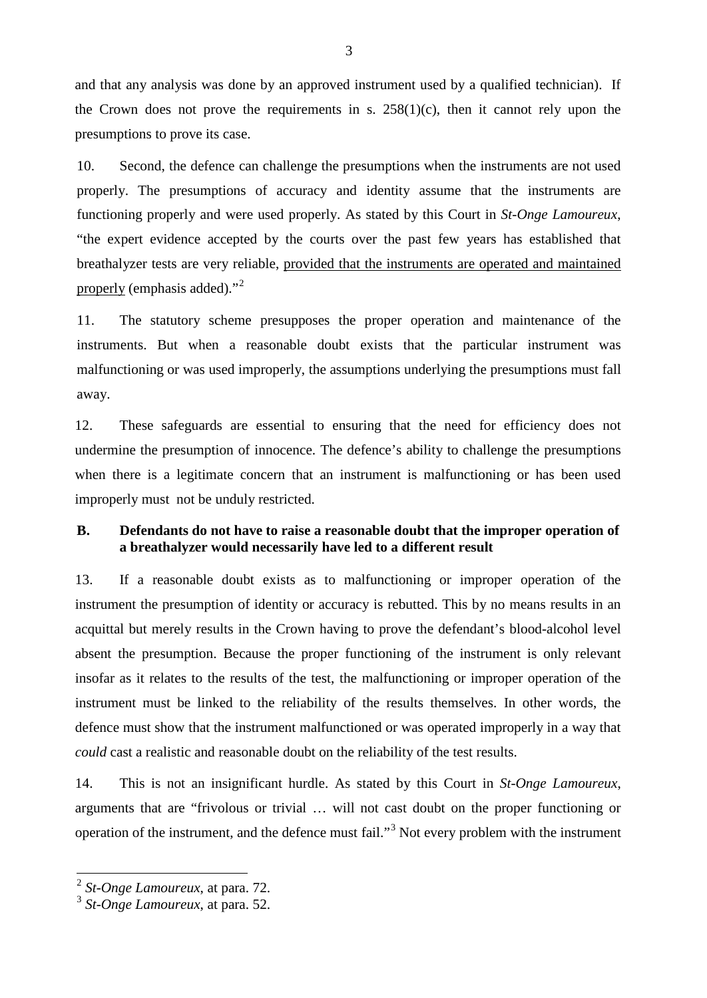and that any analysis was done by an approved instrument used by a qualified technician). If the Crown does not prove the requirements in s.  $258(1)(c)$ , then it cannot rely upon the presumptions to prove its case.

10. Second, the defence can challenge the presumptions when the instruments are not used properly. The presumptions of accuracy and identity assume that the instruments are functioning properly and were used properly. As stated by this Court in *St-Onge Lamoureux*, "the expert evidence accepted by the courts over the past few years has established that breathalyzer tests are very reliable, provided that the instruments are operated and maintained properly (emphasis added)."<sup>[2](#page-6-0)</sup>

11. The statutory scheme presupposes the proper operation and maintenance of the instruments. But when a reasonable doubt exists that the particular instrument was malfunctioning or was used improperly, the assumptions underlying the presumptions must fall away.

12. These safeguards are essential to ensuring that the need for efficiency does not undermine the presumption of innocence. The defence's ability to challenge the presumptions when there is a legitimate concern that an instrument is malfunctioning or has been used improperly must not be unduly restricted.

# **B. Defendants do not have to raise a reasonable doubt that the improper operation of a breathalyzer would necessarily have led to a different result**

13. If a reasonable doubt exists as to malfunctioning or improper operation of the instrument the presumption of identity or accuracy is rebutted. This by no means results in an acquittal but merely results in the Crown having to prove the defendant's blood-alcohol level absent the presumption. Because the proper functioning of the instrument is only relevant insofar as it relates to the results of the test, the malfunctioning or improper operation of the instrument must be linked to the reliability of the results themselves. In other words, the defence must show that the instrument malfunctioned or was operated improperly in a way that *could* cast a realistic and reasonable doubt on the reliability of the test results.

14. This is not an insignificant hurdle. As stated by this Court in *St-Onge Lamoureux*, arguments that are "frivolous or trivial … will not cast doubt on the proper functioning or operation of the instrument, and the defence must fail.<sup>[3](#page-6-1)</sup> Not every problem with the instrument

3

<span id="page-6-0"></span> <sup>2</sup> *St-Onge Lamoureux*, at para. 72.

<span id="page-6-1"></span><sup>3</sup> *St-Onge Lamoureux*, at para. 52.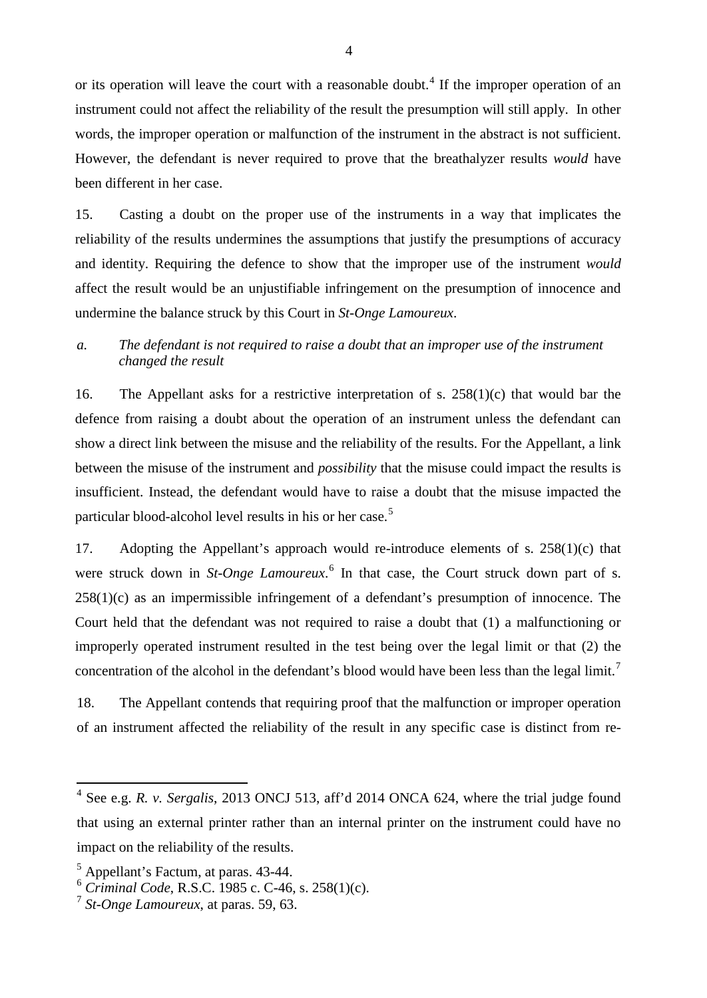or its operation will leave the court with a reasonable doubt.<sup>[4](#page-7-0)</sup> If the improper operation of an instrument could not affect the reliability of the result the presumption will still apply. In other words, the improper operation or malfunction of the instrument in the abstract is not sufficient. However, the defendant is never required to prove that the breathalyzer results *would* have been different in her case.

15. Casting a doubt on the proper use of the instruments in a way that implicates the reliability of the results undermines the assumptions that justify the presumptions of accuracy and identity. Requiring the defence to show that the improper use of the instrument *would*  affect the result would be an unjustifiable infringement on the presumption of innocence and undermine the balance struck by this Court in *St-Onge Lamoureux*.

# *a. The defendant is not required to raise a doubt that an improper use of the instrument changed the result*

16. The Appellant asks for a restrictive interpretation of s. 258(1)(c) that would bar the defence from raising a doubt about the operation of an instrument unless the defendant can show a direct link between the misuse and the reliability of the results. For the Appellant, a link between the misuse of the instrument and *possibility* that the misuse could impact the results is insufficient. Instead, the defendant would have to raise a doubt that the misuse impacted the particular blood-alcohol level results in his or her case.<sup>[5](#page-7-1)</sup>

17. Adopting the Appellant's approach would re-introduce elements of s. 258(1)(c) that were struck down in *St-Onge Lamoureux*. [6](#page-7-2) In that case, the Court struck down part of s.  $258(1)(c)$  as an impermissible infringement of a defendant's presumption of innocence. The Court held that the defendant was not required to raise a doubt that (1) a malfunctioning or improperly operated instrument resulted in the test being over the legal limit or that (2) the concentration of the alcohol in the defendant's blood would have been less than the legal limit.<sup>[7](#page-7-3)</sup>

18. The Appellant contends that requiring proof that the malfunction or improper operation of an instrument affected the reliability of the result in any specific case is distinct from re-

<span id="page-7-0"></span> <sup>4</sup> See e.g. *R. v. Sergalis*, 2013 ONCJ 513, aff'd 2014 ONCA 624, where the trial judge found that using an external printer rather than an internal printer on the instrument could have no impact on the reliability of the results.

<span id="page-7-1"></span><sup>5</sup> Appellant's Factum, at paras. 43-44.

<span id="page-7-2"></span><sup>6</sup> *Criminal Code*, R.S.C. 1985 c. C-46, s. 258(1)(c).

<span id="page-7-3"></span><sup>7</sup> *St-Onge Lamoureux*, at paras. 59, 63.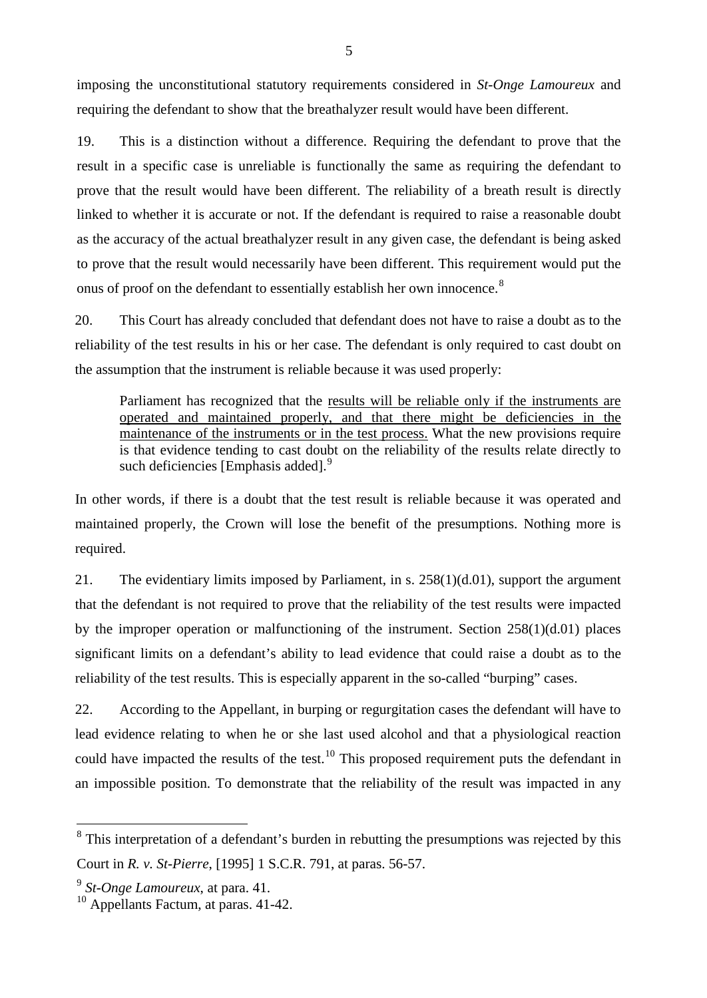imposing the unconstitutional statutory requirements considered in *St-Onge Lamoureux* and requiring the defendant to show that the breathalyzer result would have been different.

19. This is a distinction without a difference. Requiring the defendant to prove that the result in a specific case is unreliable is functionally the same as requiring the defendant to prove that the result would have been different. The reliability of a breath result is directly linked to whether it is accurate or not. If the defendant is required to raise a reasonable doubt as the accuracy of the actual breathalyzer result in any given case, the defendant is being asked to prove that the result would necessarily have been different. This requirement would put the onus of proof on the defendant to essentially establish her own innocence.<sup>[8](#page-8-0)</sup>

20. This Court has already concluded that defendant does not have to raise a doubt as to the reliability of the test results in his or her case. The defendant is only required to cast doubt on the assumption that the instrument is reliable because it was used properly:

Parliament has recognized that the results will be reliable only if the instruments are operated and maintained properly, and that there might be deficiencies in the maintenance of the instruments or in the test process. What the new provisions require is that evidence tending to cast doubt on the reliability of the results relate directly to such deficiencies [Emphasis added].<sup>[9](#page-8-1)</sup>

In other words, if there is a doubt that the test result is reliable because it was operated and maintained properly, the Crown will lose the benefit of the presumptions. Nothing more is required.

21. The evidentiary limits imposed by Parliament, in s. 258(1)(d.01), support the argument that the defendant is not required to prove that the reliability of the test results were impacted by the improper operation or malfunctioning of the instrument. Section  $258(1)(d.01)$  places significant limits on a defendant's ability to lead evidence that could raise a doubt as to the reliability of the test results. This is especially apparent in the so-called "burping" cases.

22. According to the Appellant, in burping or regurgitation cases the defendant will have to lead evidence relating to when he or she last used alcohol and that a physiological reaction could have impacted the results of the test.<sup>[10](#page-8-2)</sup> This proposed requirement puts the defendant in an impossible position. To demonstrate that the reliability of the result was impacted in any

<span id="page-8-0"></span><sup>&</sup>lt;sup>8</sup> This interpretation of a defendant's burden in rebutting the presumptions was rejected by this Court in *R. v. St-Pierre*, [1995] 1 S.C.R. 791, at paras. 56-57.

<span id="page-8-1"></span><sup>9</sup> *St-Onge Lamoureux*, at para. 41.

<span id="page-8-2"></span> $10$  Appellants Factum, at paras, 41-42.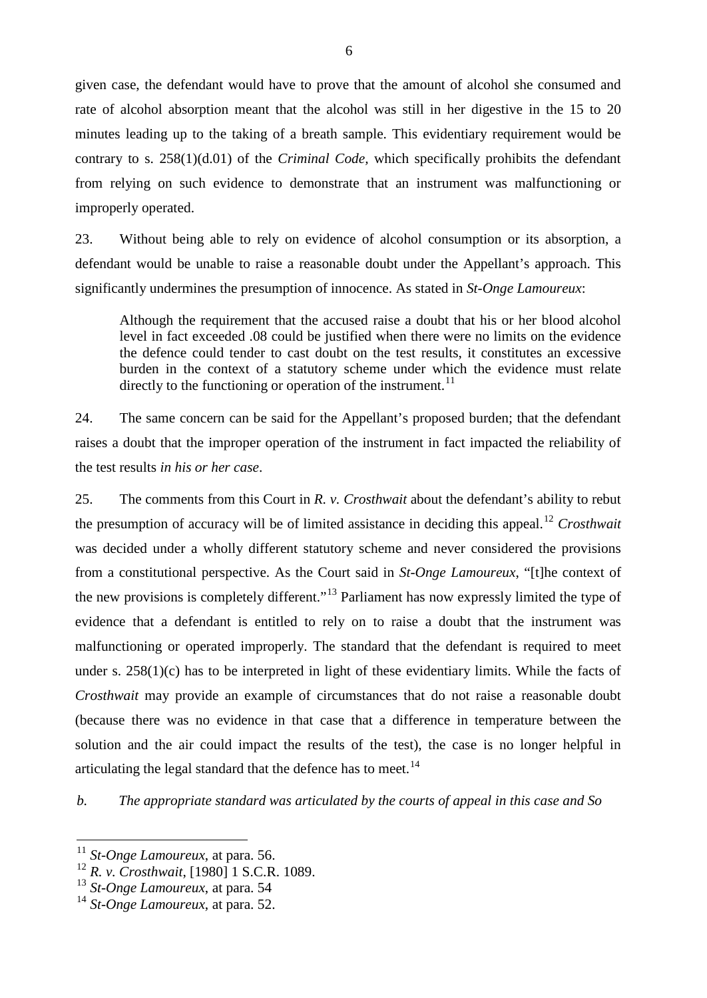given case, the defendant would have to prove that the amount of alcohol she consumed and rate of alcohol absorption meant that the alcohol was still in her digestive in the 15 to 20 minutes leading up to the taking of a breath sample. This evidentiary requirement would be contrary to s. 258(1)(d.01) of the *Criminal Code,* which specifically prohibits the defendant from relying on such evidence to demonstrate that an instrument was malfunctioning or improperly operated.

23. Without being able to rely on evidence of alcohol consumption or its absorption, a defendant would be unable to raise a reasonable doubt under the Appellant's approach. This significantly undermines the presumption of innocence. As stated in *St-Onge Lamoureux*:

Although the requirement that the accused raise a doubt that his or her blood alcohol level in fact exceeded .08 could be justified when there were no limits on the evidence the defence could tender to cast doubt on the test results, it constitutes an excessive burden in the context of a statutory scheme under which the evidence must relate directly to the functioning or operation of the instrument.<sup>[11](#page-9-0)</sup>

24. The same concern can be said for the Appellant's proposed burden; that the defendant raises a doubt that the improper operation of the instrument in fact impacted the reliability of the test results *in his or her case*.

25. The comments from this Court in *R. v. Crosthwait* about the defendant's ability to rebut the presumption of accuracy will be of limited assistance in deciding this appeal.[12](#page-9-1) *Crosthwait*  was decided under a wholly different statutory scheme and never considered the provisions from a constitutional perspective. As the Court said in *St-Onge Lamoureux*, "[t]he context of the new provisions is completely different."[13](#page-9-2) Parliament has now expressly limited the type of evidence that a defendant is entitled to rely on to raise a doubt that the instrument was malfunctioning or operated improperly. The standard that the defendant is required to meet under s. 258(1)(c) has to be interpreted in light of these evidentiary limits. While the facts of *Crosthwait* may provide an example of circumstances that do not raise a reasonable doubt (because there was no evidence in that case that a difference in temperature between the solution and the air could impact the results of the test), the case is no longer helpful in articulating the legal standard that the defence has to meet.<sup>[14](#page-9-3)</sup>

*b. The appropriate standard was articulated by the courts of appeal in this case and So*

<span id="page-9-0"></span> <sup>11</sup> *St-Onge Lamoureux*, at para. 56.

<span id="page-9-1"></span><sup>12</sup> *R. v. Crosthwait*, [1980] 1 S.C.R. 1089.

<span id="page-9-2"></span><sup>13</sup> *St-Onge Lamoureux*, at para. 54

<span id="page-9-3"></span><sup>14</sup> *St-Onge Lamoureux*, at para. 52.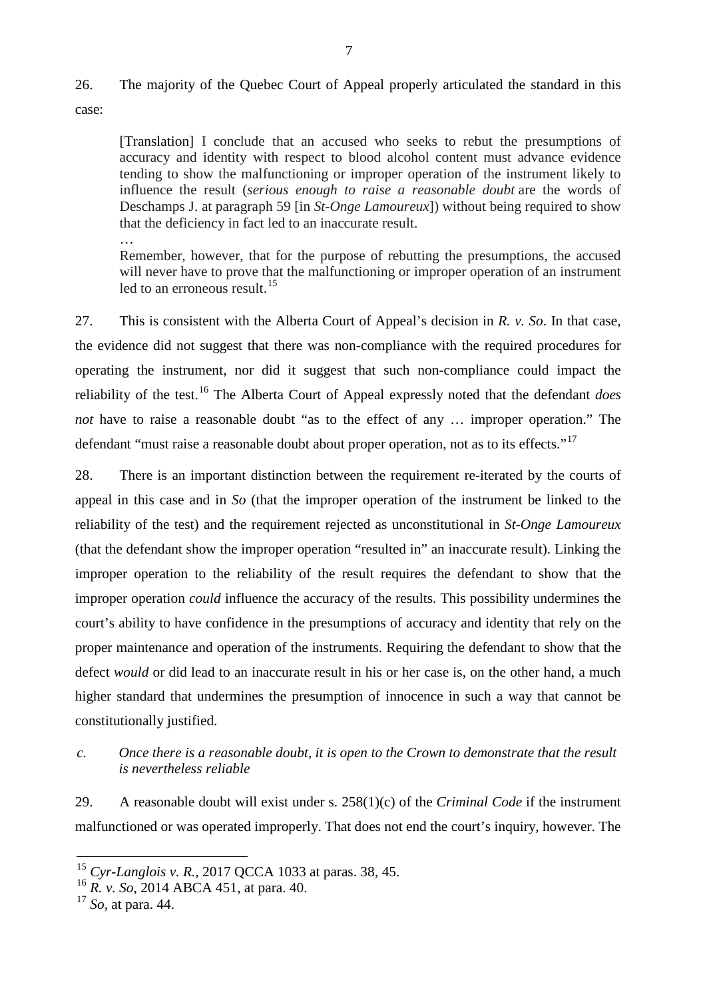# 26. The majority of the Quebec Court of Appeal properly articulated the standard in this case:

[Translation] I conclude that an accused who seeks to rebut the presumptions of accuracy and identity with respect to blood alcohol content must advance evidence tending to show the malfunctioning or improper operation of the instrument likely to influence the result (*serious enough to raise a reasonable doubt* are the words of Deschamps J. at paragraph 59 [in *St-Onge Lamoureux*]) without being required to show that the deficiency in fact led to an inaccurate result.

… Remember, however, that for the purpose of rebutting the presumptions, the accused will never have to prove that the malfunctioning or improper operation of an instrument led to an erroneous result.<sup>[15](#page-10-0)</sup>

27. This is consistent with the Alberta Court of Appeal's decision in *R. v. So*. In that case, the evidence did not suggest that there was non-compliance with the required procedures for operating the instrument, nor did it suggest that such non-compliance could impact the reliability of the test.[16](#page-10-1) The Alberta Court of Appeal expressly noted that the defendant *does not* have to raise a reasonable doubt "as to the effect of any … improper operation." The defendant "must raise a reasonable doubt about proper operation, not as to its effects."<sup>[17](#page-10-2)</sup>

28. There is an important distinction between the requirement re-iterated by the courts of appeal in this case and in *So* (that the improper operation of the instrument be linked to the reliability of the test) and the requirement rejected as unconstitutional in *St-Onge Lamoureux* (that the defendant show the improper operation "resulted in" an inaccurate result). Linking the improper operation to the reliability of the result requires the defendant to show that the improper operation *could* influence the accuracy of the results. This possibility undermines the court's ability to have confidence in the presumptions of accuracy and identity that rely on the proper maintenance and operation of the instruments. Requiring the defendant to show that the defect *would* or did lead to an inaccurate result in his or her case is, on the other hand, a much higher standard that undermines the presumption of innocence in such a way that cannot be constitutionally justified.

# *c. Once there is a reasonable doubt, it is open to the Crown to demonstrate that the result is nevertheless reliable*

29. A reasonable doubt will exist under s. 258(1)(c) of the *Criminal Code* if the instrument malfunctioned or was operated improperly. That does not end the court's inquiry, however. The

<span id="page-10-0"></span> <sup>15</sup> *Cyr-Langlois v. R.*, 2017 QCCA 1033 at paras. 38, 45.

<span id="page-10-1"></span><sup>16</sup> *R. v. So*, 2014 ABCA 451, at para. 40.

<span id="page-10-2"></span><sup>17</sup> *So,* at para. 44.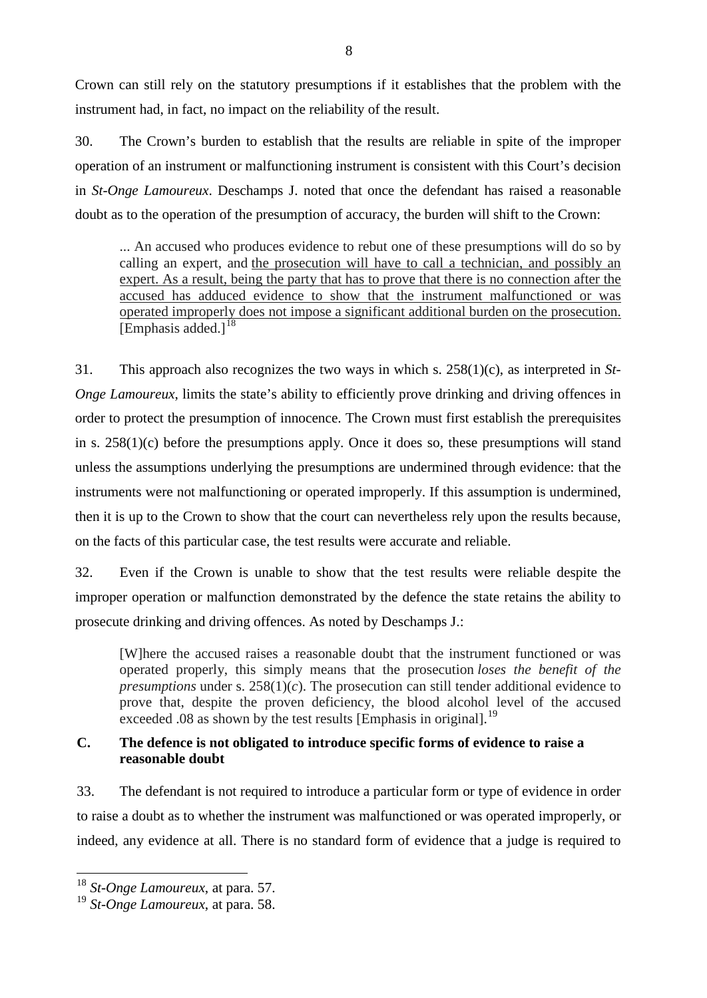Crown can still rely on the statutory presumptions if it establishes that the problem with the instrument had, in fact, no impact on the reliability of the result.

30. The Crown's burden to establish that the results are reliable in spite of the improper operation of an instrument or malfunctioning instrument is consistent with this Court's decision in *St-Onge Lamoureux*. Deschamps J. noted that once the defendant has raised a reasonable doubt as to the operation of the presumption of accuracy, the burden will shift to the Crown:

... An accused who produces evidence to rebut one of these presumptions will do so by calling an expert, and the prosecution will have to call a technician, and possibly an expert. As a result, being the party that has to prove that there is no connection after the accused has adduced evidence to show that the instrument malfunctioned or was operated improperly does not impose a significant additional burden on the prosecution. [Emphasis added.] $18$ 

31. This approach also recognizes the two ways in which s. 258(1)(c), as interpreted in *St-Onge Lamoureux*, limits the state's ability to efficiently prove drinking and driving offences in order to protect the presumption of innocence. The Crown must first establish the prerequisites in s. 258(1)(c) before the presumptions apply. Once it does so, these presumptions will stand unless the assumptions underlying the presumptions are undermined through evidence: that the instruments were not malfunctioning or operated improperly. If this assumption is undermined, then it is up to the Crown to show that the court can nevertheless rely upon the results because, on the facts of this particular case, the test results were accurate and reliable.

32. Even if the Crown is unable to show that the test results were reliable despite the improper operation or malfunction demonstrated by the defence the state retains the ability to prosecute drinking and driving offences. As noted by Deschamps J.:

[W]here the accused raises a reasonable doubt that the instrument functioned or was operated properly, this simply means that the prosecution *loses the benefit of the presumptions* under s.  $258(1)(c)$ . The prosecution can still tender additional evidence to prove that, despite the proven deficiency, the blood alcohol level of the accused exceeded .08 as shown by the test results [Emphasis in original].<sup>[19](#page-11-1)</sup>

# **C. The defence is not obligated to introduce specific forms of evidence to raise a reasonable doubt**

33. The defendant is not required to introduce a particular form or type of evidence in order to raise a doubt as to whether the instrument was malfunctioned or was operated improperly, or indeed, any evidence at all. There is no standard form of evidence that a judge is required to

<span id="page-11-0"></span> <sup>18</sup> *St-Onge Lamoureux*, at para. 57.

<span id="page-11-1"></span><sup>19</sup> *St-Onge Lamoureux*, at para. 58.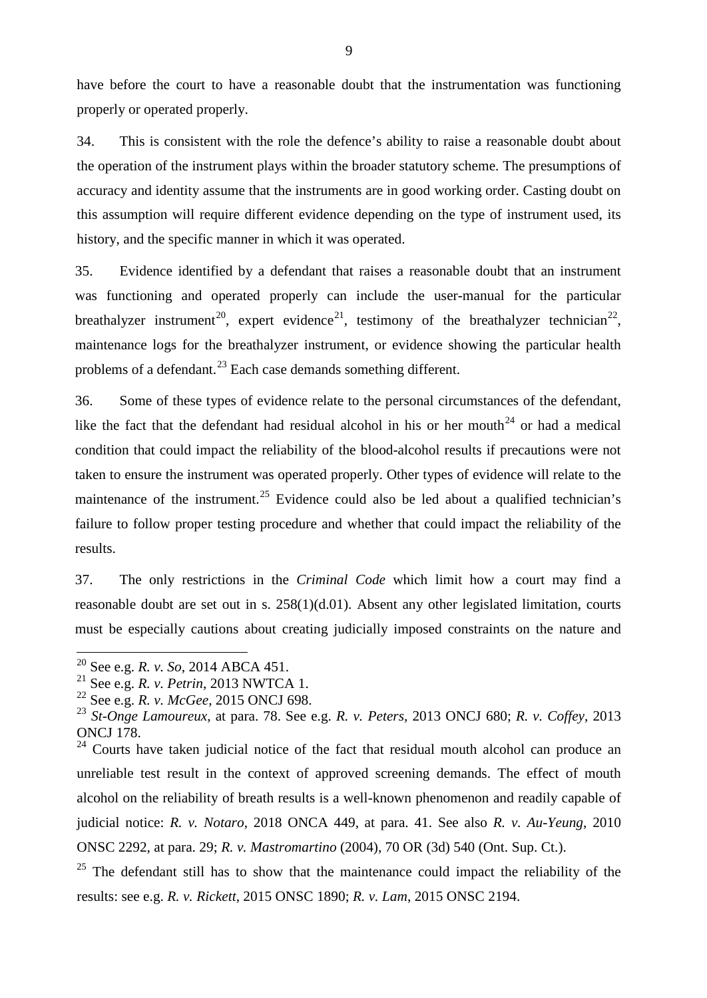have before the court to have a reasonable doubt that the instrumentation was functioning properly or operated properly.

34. This is consistent with the role the defence's ability to raise a reasonable doubt about the operation of the instrument plays within the broader statutory scheme. The presumptions of accuracy and identity assume that the instruments are in good working order. Casting doubt on this assumption will require different evidence depending on the type of instrument used, its history, and the specific manner in which it was operated.

35. Evidence identified by a defendant that raises a reasonable doubt that an instrument was functioning and operated properly can include the user-manual for the particular breathalyzer instrument<sup>[20](#page-12-0)</sup>, expert evidence<sup>[21](#page-12-1)</sup>, testimony of the breathalyzer technician<sup>22</sup>, maintenance logs for the breathalyzer instrument, or evidence showing the particular health problems of a defendant.<sup>[23](#page-12-3)</sup> Each case demands something different.

36. Some of these types of evidence relate to the personal circumstances of the defendant, like the fact that the defendant had residual alcohol in his or her mouth<sup>[24](#page-12-4)</sup> or had a medical condition that could impact the reliability of the blood-alcohol results if precautions were not taken to ensure the instrument was operated properly. Other types of evidence will relate to the maintenance of the instrument.<sup>[25](#page-12-5)</sup> Evidence could also be led about a qualified technician's failure to follow proper testing procedure and whether that could impact the reliability of the results.

37. The only restrictions in the *Criminal Code* which limit how a court may find a reasonable doubt are set out in s. 258(1)(d.01). Absent any other legislated limitation, courts must be especially cautions about creating judicially imposed constraints on the nature and

<span id="page-12-0"></span><sup>&</sup>lt;sup>20</sup> See e.g. *R. v. So*, 2014 ABCA 451.<br><sup>21</sup> See e.g. *R. v. Petrin*, 2013 NWTCA 1.

<span id="page-12-2"></span><span id="page-12-1"></span><sup>&</sup>lt;sup>22</sup> See e.g. *R. v. McGee*, 2015 ONCJ 698.

<span id="page-12-3"></span><sup>23</sup> *St-Onge Lamoureux*, at para. 78. See e.g. *R. v. Peters*, 2013 ONCJ 680; *R. v. Coffey*, 2013 ONCJ 178.

<span id="page-12-4"></span> $24$  Courts have taken judicial notice of the fact that residual mouth alcohol can produce an unreliable test result in the context of approved screening demands. The effect of mouth alcohol on the reliability of breath results is a well-known phenomenon and readily capable of judicial notice: *R. v. Notaro*, 2018 ONCA 449, at para. 41. See also *R. v. Au-Yeung*, 2010 ONSC 2292, at para. 29; *R. v. Mastromartino* (2004), 70 OR (3d) 540 (Ont. Sup. Ct.).

<span id="page-12-5"></span> $25$  The defendant still has to show that the maintenance could impact the reliability of the results: see e.g. *R. v. Rickett*, 2015 ONSC 1890; *R. v. Lam*, 2015 ONSC 2194.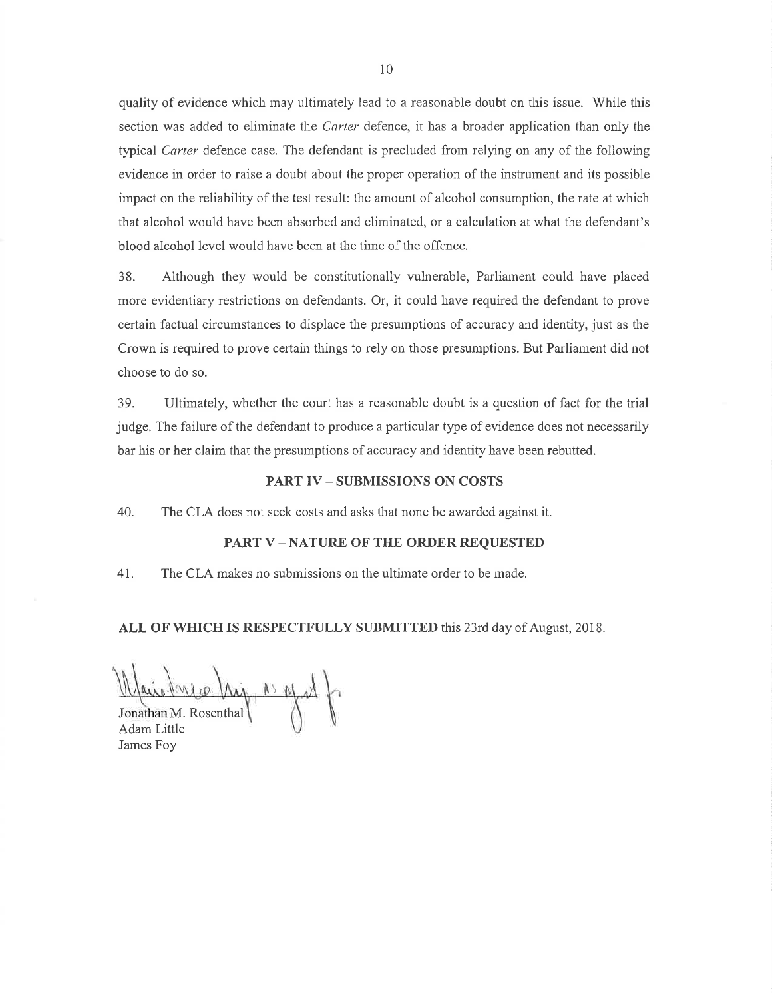quality of evidence which may ultimately lead to a reasonable doubt on this issue. While this section was added to eliminate the *Carter* defence, it has a broader application than only the typical Carter defence case. The defendant is precluded from relying on any of the following evidence in order to raise a doubt about the proper operation of the instrument and its possible impact on the reliability of the test result: the amount of alcohol consumption, the rate at which that alcohol would have been absorbed and eliminated, or a calculation at what the defendant's blood alcohol level would have been at the time of the offence.

38. Although they would be constitutionally vulnerable, Parliament could have placed more evidentiary restrictions on defendants. Or, it could have required the defendant to prove certain factual circumstances to displace the presumptions of accuracy and identity, just as the Crown is required to prove certain things to rely on those presumptions. But Parliament did not choose to do so.

39. Ultimately, whether the court has a reasonable doubt is a question of fact for the trial judge. The failure of the defendant to produce a particular type of evidence does not necessarily bar his or her claim that the presumptions of accuracy and identity have been rebutted.

#### **PART IV - SUBMISSIONS ON COSTS**

40. The CLA does not seek costs and asks that none be awarded against it.

#### **PART V-NATURE OF THE ORDER REQUESTED**

The CLA makes no submissions on the ultimate order to be made. 41.

#### ALL OF WHICH IS RESPECTFULLY SUBMITTED this 23rd day of August, 2018.

 $\rightarrow$  by the ca Jonathan M. Rosenthal

Adam Little James Foy